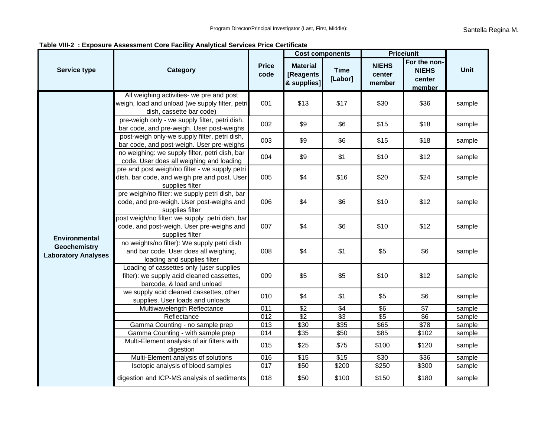| Service type                                                              | <b>Category</b>                                                                                                         | <b>Price</b><br>code | <b>Cost components</b>                      |                        | <b>Price/unit</b>                |                                                  |             |
|---------------------------------------------------------------------------|-------------------------------------------------------------------------------------------------------------------------|----------------------|---------------------------------------------|------------------------|----------------------------------|--------------------------------------------------|-------------|
|                                                                           |                                                                                                                         |                      | <b>Material</b><br>[Reagents<br>& supplies] | <b>Time</b><br>[Labor] | <b>NIEHS</b><br>center<br>member | For the non-<br><b>NIEHS</b><br>center<br>member | <b>Unit</b> |
| <b>Environmental</b><br><b>Geochemistry</b><br><b>Laboratory Analyses</b> | All weighing activities- we pre and post<br>weigh, load and unload (we supply filter, petri<br>dish, cassette bar code) | 001                  | \$13                                        | \$17                   | \$30                             | \$36                                             | sample      |
|                                                                           | pre-weigh only - we supply filter, petri dish,<br>bar code, and pre-weigh. User post-weighs                             | 002                  | \$9                                         | \$6                    | \$15                             | \$18                                             | sample      |
|                                                                           | post-weigh only-we supply filter, petri dish,<br>bar code, and post-weigh. User pre-weighs                              | 003                  | \$9                                         | \$6                    | \$15                             | \$18                                             | sample      |
|                                                                           | no weighing: we supply filter, petri dish, bar<br>code. User does all weighing and loading                              | 004                  | \$9                                         | \$1                    | \$10                             | \$12                                             | sample      |
|                                                                           | pre and post weigh/no filter - we supply petri<br>dish, bar code, and weigh pre and post. User<br>supplies filter       | 005                  | \$4                                         | \$16                   | \$20                             | \$24                                             | sample      |
|                                                                           | pre weigh/no filter: we supply petri dish, bar<br>code, and pre-weigh. User post-weighs and<br>supplies filter          | 006                  | \$4                                         | \$6                    | \$10                             | \$12                                             | sample      |
|                                                                           | post weigh/no filter: we supply petri dish, bar<br>code, and post-weigh. User pre-weighs and<br>supplies filter         | 007                  | \$4                                         | \$6                    | \$10                             | \$12                                             | sample      |
|                                                                           | no weights/no filter): We supply petri dish<br>and bar code. User does all weighing,<br>loading and supplies filter     | 008                  | \$4                                         | \$1                    | \$5                              | \$6                                              | sample      |
|                                                                           | Loading of cassettes only (user supplies<br>filter): we supply acid cleaned cassettes,<br>barcode, & load and unload    | 009                  | \$5                                         | \$5                    | \$10                             | \$12                                             | sample      |
|                                                                           | we supply acid cleaned cassettes, other<br>supplies. User loads and unloads                                             | 010                  | \$4                                         | \$1                    | \$5                              | \$6                                              | sample      |
|                                                                           | Multiwavelength Reflectance                                                                                             | 011                  | $\sqrt{$2}$                                 | \$4                    | $\sqrt[6]{6}$                    | \$7                                              | sample      |
|                                                                           | Reflectance                                                                                                             | 012                  | \$2                                         | $\sqrt{3}$             | $\sqrt[6]{5}$                    | \$6                                              | sample      |
|                                                                           | Gamma Counting - no sample prep                                                                                         | 013                  | \$30                                        | \$35                   | \$65                             | $\sqrt{$78}$                                     | sample      |
|                                                                           | Gamma Counting - with sample prep                                                                                       | 014                  | $\overline{$35}$                            | \$50                   | $\overline{$85}$                 | \$102                                            | sample      |
|                                                                           | Multi-Element analysis of air filters with<br>digestion                                                                 | 015                  | \$25                                        | \$75                   | \$100                            | \$120                                            | sample      |
|                                                                           | Multi-Element analysis of solutions                                                                                     | 016                  | $\overline{$15}$                            | $\overline{$15}$       | $\sqrt{$30}$                     | \$36                                             | sample      |
|                                                                           | Isotopic analysis of blood samples                                                                                      | 017                  | \$50                                        | \$200                  | \$250                            | \$300                                            | sample      |
|                                                                           | digestion and ICP-MS analysis of sediments                                                                              | 018                  | \$50                                        | \$100                  | \$150                            | \$180                                            | sample      |